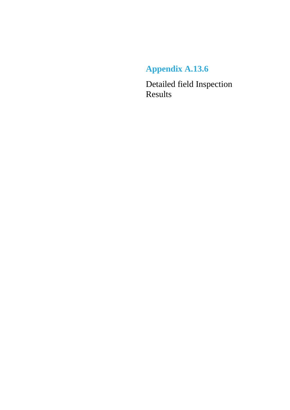# **Appendix A.13.6**

Detailed field Inspection Results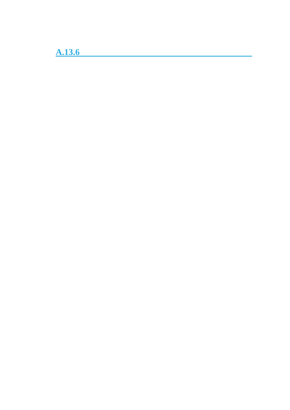**A.13.6**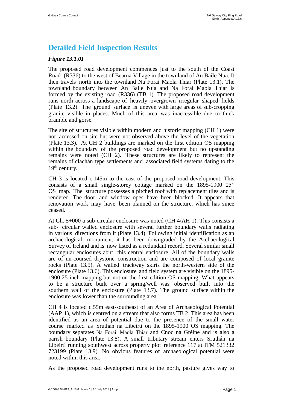# **Detailed Field Inspection Results**

# *Figure 13.1.01*

The proposed road development commences just to the south of the Coast Road (R336) to the west of Bearna Village in the townland of An Baile Nua. It then travels north into the townland Na Foraí Maola Thiar (Plate 13.1). The townland boundary between An Baile Nua and Na Foraí Maola Thiar is formed by the existing road (R336) (TB 1). The proposed road development runs north across a landscape of heavily overgrown irregular shaped fields (Plate 13.2). The ground surface is uneven with large areas of sub-cropping granite visible in places. Much of this area was inaccessible due to thick bramble and gorse.

The site of structures visible within modern and historic mapping (CH 1) were not accessed on site but were not observed above the level of the vegetation (Plate 13.3). At CH 2 buildings are marked on the first edition OS mapping within the boundary of the proposed road development but no upstanding remains were noted (CH 2). These structures are likely to represent the remains of clachán type settlements and associated field systems dating to the  $19<sup>th</sup>$  century.

CH 3 is located c.145m to the east of the proposed road development. This consists of a small single-storey cottage marked on the 1895-1900 25" OS map. The structure possesses a pitched roof with replacement tiles and is rendered. The door and window opes have been blocked. It appears that renovation work may have been planned on the structure, which has since ceased.

At Ch. 5+000 a sub-circular enclosure was noted (CH 4/AH 1). This consists a sub- circular walled enclosure with several further boundary walls radiating in various directions from it (Plate 13.4). Following initial identification as an archaeological monument, it has been downgraded by the Archaeological Survey of Ireland and is now listed as a redundant record. Several similar small rectangular enclosures abut this central enclosure. All of the boundary walls are of un-coursed drystone construction and are composed of local granite rocks (Plate 13.5). A walled trackway skirts the north-western side of the enclosure (Plate 13.6). This enclosure and field system are visible on the 1895- 1900 25-inch mapping but not on the first edition OS mapping. What appears to be a structure built over a spring/well was observed built into the southern wall of the enclosure (Plate 13.7). The ground surface within the enclosure was lower than the surrounding area.

CH 4 is located c.55m east-southeast of an Area of Archaeological Potential (AAP 1), which is centred on a stream that also forms TB 2. This area has been identified as an area of potential due to the presence of the small water course marked as Sruthán na Libeirtí on the 1895-1900 OS mapping. The boundary separates Na Foraí Maola Thiar and Cnoc na Gréine and is also a parish boundary (Plate 13.8). A small tributary stream enters Sruthán na Libeirtí running southwest across property plot reference 117 at ITM 521332 723199 (Plate 13.9). No obvious features of archaeological potential were noted within this area.

As the proposed road development runs to the north, pasture gives way to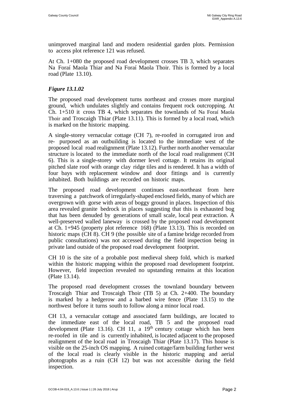unimproved marginal land and modern residential garden plots. Permission to access plot reference 121 was refused.

At Ch. 1+080 the proposed road development crosses TB 3, which separates Na Foraí Maola Thiar and Na Foraí Maola Thoir. This is formed by a local road (Plate 13.10).

# *Figure 13.1.02*

The proposed road development turns northeast and crosses more marginal ground, which undulates slightly and contains frequent rock outcropping. At Ch. 1+510 it cross TB 4, which separates the townlands of Na Foraí Maola Thoir and Troscaigh Thiar (Plate 13.11). This is formed by a local road, which is marked on the historic mapping.

A single-storey vernacular cottage (CH 7), re-roofed in corrugated iron and re- purposed as an outbuilding is located to the immediate west of the proposed local road realignment (Plate 13.12). Further north another vernacular structure is located to the immediate north of the local road realignment (CH 6). This is a single-storey with dormer level cottage. It retains its original pitched slate roof with orange clay ridge tiles and is rendered. It has a width of four bays with replacement window and door fittings and is currently inhabited. Both buildings are recorded on historic maps.

The proposed road development continues east-northeast from here traversing a patchwork of irregularly-shaped enclosed fields, many of which are overgrown with gorse with areas of boggy ground in places. Inspection of this area revealed granite bedrock in places suggesting that this is exhausted bog that has been denuded by generations of small scale, local peat extraction. A well-preserved walled laneway is crossed by the proposed road development at Ch. 1+945 (property plot reference 168) (Plate 13.13). This is recorded on historic maps (CH 8). CH 9 (the possible site of a famine bridge recorded from public consultations) was not accessed during the field inspection being in private land outside of the proposed road development footprint.

CH 10 is the site of a probable post medieval sheep fold, which is marked within the historic mapping within the proposed road development footprint. However, field inspection revealed no upstanding remains at this location (Plate 13.14).

The proposed road development crosses the townland boundary between Troscaigh Thiar and Troscaigh Thoir (TB 5) at Ch. 2+400. The boundary is marked by a hedgerow and a barbed wire fence (Plate 13.15) to the northwest before it turns south to follow along a minor local road.

CH 13, a vernacular cottage and associated farm buildings, are located to the immediate east of the local road, TB 5 and the proposed road development (Plate 13.16). CH 11, a  $19<sup>th</sup>$  century cottage which has been re-roofed in tile and is currently inhabited, is located adjacent to the proposed realignment of the local road in Troscaigh Thiar (Plate 13.17). This house is visible on the 25-inch OS mapping. A ruined cottage/farm building further west of the local road is clearly visible in the historic mapping and aerial photographs as a ruin (CH 12) but was not accessible during the field inspection.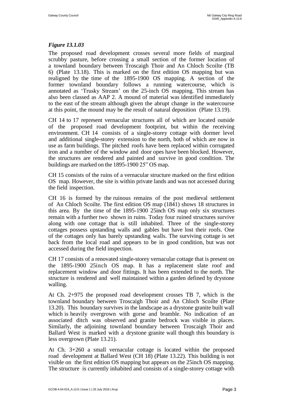### *Figure 13.1.03*

The proposed road development crosses several more fields of marginal scrubby pasture, before crossing a small section of the former location of a townland boundary between Troscaigh Thoir and An Chloch Scoilte (TB 6) (Plate 13.18). This is marked on the first edition OS mapping but was realigned by the time of the 1895-1900 OS mapping. A section of the former townland boundary follows a running watercourse, which is annotated as 'Trusky Stream' on the 25-inch OS mapping. This stream has also been classed as AAP 2. A mound of material was identified immediately to the east of the stream although given the abrupt change in the watercourse at this point, the mound may be the result of natural deposition (Plate 13.19).

CH 14 to 17 represent vernacular structures all of which are located outside of the proposed road development footprint, but within the receiving environment. CH 14 consists of a single-storey cottage with dormer level and additional single-storey extension to the north, both of which are now in use as farm buildings. The pitched roofs have been replaced within corrugated iron and a number of the window and door opes have been blocked. However, the structures are rendered and painted and survive in good condition. The buildings are marked on the 1895-1900 25" OS map.

CH 15 consists of the ruins of a vernacular structure marked on the first edition OS map. However, the site is within private lands and was not accessed during the field inspection.

CH 16 is formed by the ruinous remains of the post medieval settlement of An Chloch Scoilte. The first edition OS map (1841) shows 18 structures in this area. By the time of the 1895-1900 25inch OS map only six structures remain with a further two shown in ruins. Today four ruined structures survive along with one cottage that is still inhabited. Three of the single-storey cottages possess upstanding walls and gables but have lost their roofs. One of the cottages only has barely upstanding walls. The surviving cottage is set back from the local road and appears to be in good condition, but was not accessed during the field inspection.

CH 17 consists of a renovated single-storey vernacular cottage that is present on the 1895-1900 25inch OS map. It has a replacement slate roof and replacement window and door fittings. It has been extended to the north. The structure is rendered and well maintained within a garden defined by drystone walling.

At Ch. 2+975 the proposed road development crosses TB 7, which is the townland boundary between Troscaigh Thoir and An Chloch Scoilte (Plate 13.20). This boundary survives in the landscape as a drystone granite built wall which is heavily overgrown with gorse and bramble. No indication of an associated ditch was observed and granite bedrock was visible in places. Similarly, the adjoining townland boundary between Troscaigh Thoir and Ballard West is marked with a drystone granite wall though this boundary is less overgrown (Plate 13.21).

At Ch. 3+260 a small vernacular cottage is located within the proposed road development at Ballard West (CH 18) (Plate 13.22). This building is not visible on the first edition OS mapping but appears on the 25inch OS mapping. The structure is currently inhabited and consists of a single-storey cottage with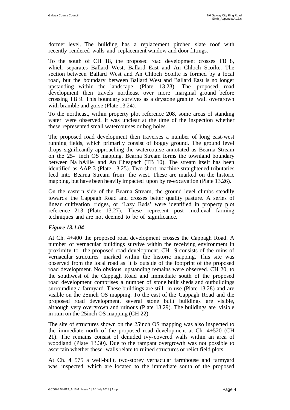dormer level. The building has a replacement pitched slate roof with recently rendered walls and replacement window and door fittings.

To the south of CH 18, the proposed road development crosses TB 8, which separates Ballard West, Ballard East and An Chloch Scoilte. The section between Ballard West and An Chloch Scoilte is formed by a local road, but the boundary between Ballard West and Ballard East is no longer upstanding within the landscape (Plate 13.23). The proposed road development then travels northeast over more marginal ground before crossing TB 9. This boundary survives as a drystone granite wall overgrown with bramble and gorse (Plate 13.24).

To the northeast, within property plot reference 208, some areas of standing water were observed. It was unclear at the time of the inspection whether these represented small watercourses or bog holes.

The proposed road development then traverses a number of long east-west running fields, which primarily consist of boggy ground. The ground level drops significantly approaching the watercourse annotated as Bearna Stream on the 25- inch OS mapping. Bearna Stream forms the townland boundary between Na hAille and An Cheapach (TB 10). The stream itself has been identified as AAP 3 (Plate 13.25). Two short, machine straightened tributaries feed into Bearna Stream from the west. These are marked on the historic mapping, but have been heavily impacted upon by re-excavation (Plate 13.26).

On the eastern side of the Bearna Stream, the ground level climbs steadily towards the Cappagh Road and crosses better quality pasture. A series of linear cultivation ridges, or 'Lazy Beds' were identified in property plot reference 213 (Plate 13.27). These represent post medieval farming techniques and are not deemed to be of significance.

### *Figure 13.1.04*

At Ch. 4+400 the proposed road development crosses the Cappagh Road. A number of vernacular buildings survive within the receiving environment in proximity to the proposed road development. CH 19 consists of the ruins of vernacular structures marked within the historic mapping. This site was observed from the local road as it is outside of the footprint of the proposed road development. No obvious upstanding remains were observed. CH 20, to the southwest of the Cappagh Road and immediate south of the proposed road development comprises a number of stone built sheds and outbuildings surrounding a farmyard. These buildings are still in use (Plate 13.28) and are visible on the 25inch OS mapping. To the east of the Cappagh Road and the proposed road development, several stone built buildings are visible, although very overgrown and ruinous (Plate 13.29). The buildings are visible in ruin on the 25inch OS mapping (CH 22).

The site of structures shown on the 25inch OS mapping was also inspected to the immediate north of the proposed road development at Ch. 4+520 (CH 21). The remains consist of denuded ivy-covered walls within an area of woodland (Plate 13.30). Due to the rampant overgrowth was not possible to ascertain whether these walls relate to ruined structures or relict field plots.

At Ch. 4+575 a well-built, two-storey vernacular farmhouse and farmyard was inspected, which are located to the immediate south of the proposed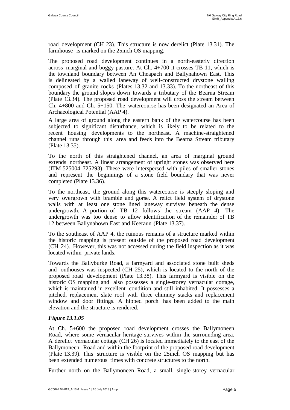road development (CH 23). This structure is now derelict (Plate 13.31). The farmhouse is marked on the 25inch OS mapping.

The proposed road development continues in a north-easterly direction across marginal and boggy pasture. At Ch. 4+700 it crosses TB 11, which is the townland boundary between An Cheapach and Ballynahown East. This is delineated by a walled laneway of well-constructed drystone walling composed of granite rocks (Plates 13.32 and 13.33). To the northeast of this boundary the ground slopes down towards a tributary of the Bearna Stream (Plate 13.34). The proposed road development will cross the stream between Ch. 4+800 and Ch. 5+150. The watercourse has been designated an Area of Archaeological Potential (AAP 4).

A large area of ground along the eastern bank of the watercourse has been subjected to significant disturbance, which is likely to be related to the recent housing developments to the northeast. A machine-straightened channel runs through this area and feeds into the Bearna Stream tributary (Plate 13.35).

To the north of this straightened channel, an area of marginal ground extends northeast. A linear arrangement of upright stones was observed here (ITM 525004 725293). These were interspersed with piles of smaller stones and represent the beginnings of a stone field boundary that was never completed (Plate 13.36).

To the northeast, the ground along this watercourse is steeply sloping and very overgrown with bramble and gorse. A relict field system of drystone walls with at least one stone lined laneway survives beneath the dense undergrowth. A portion of TB 12 follows the stream (AAP 4). The undergrowth was too dense to allow identification of the remainder of TB 12 between Ballynahown East and Keeraun (Plate 13.37).

To the southeast of AAP 4, the ruinous remains of a structure marked within the historic mapping is present outside of the proposed road development (CH 24). However, this was not accessed during the field inspection as it was located within private lands.

Towards the Ballyburke Road, a farmyard and associated stone built sheds and outhouses was inspected (CH 25), which is located to the north of the proposed road development (Plate 13.38). This farmyard is visible on the historic OS mapping and also possesses a single-storey vernacular cottage, which is maintained in excellent condition and still inhabited. It possesses a pitched, replacement slate roof with three chimney stacks and replacement window and door fittings. A hipped porch has been added to the main elevation and the structure is rendered.

# *Figure 13.1.05*

At Ch. 5+600 the proposed road development crosses the Ballymoneen Road, where some vernacular heritage survives within the surrounding area. A derelict vernacular cottage (CH 26) is located immediately to the east of the Ballymoneen Road and within the footprint of the proposed road development (Plate 13.39). This structure is visible on the 25inch OS mapping but has been extended numerous times with concrete structures to the north.

Further north on the Ballymoneen Road, a small, single-storey vernacular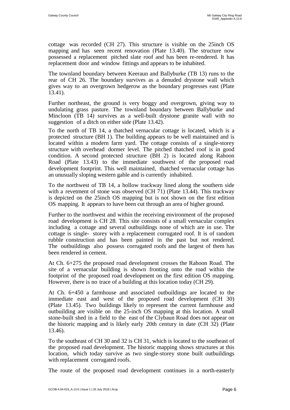cottage was recorded (CH 27). This structure is visible on the 25inch OS mapping and has seen recent renovation (Plate 13.40). The structure now possessed a replacement pitched slate roof and has been re-rendered. It has replacement door and window fittings and appears to be inhabited.

The townland boundary between Keeraun and Ballyburke (TB 13) runs to the rear of CH 26. The boundary survives as a denuded drystone wall which gives way to an overgrown hedgerow as the boundary progresses east (Plate 13.41).

Further northeast, the ground is very boggy and overgrown, giving way to undulating grass pasture. The townland boundary between Ballyburke and Mincloon (TB 14) survives as a well-built drystone granite wall with no suggestion of a ditch on either side (Plate 13.42).

To the north of TB 14, a thatched vernacular cottage is located, which is a protected structure (BH 1). The building appears to be well maintained and is located within a modern farm yard. The cottage consists of a single-storey structure with overhead dormer level. The pitched thatched roof is in good condition. A second protected structure (BH 2) is located along Rahoon Road (Plate 13.43) to the immediate southwest of the proposed road development footprint. This well maintained, thatched vernacular cottage has an unusually sloping western gable and is currently inhabited.

To the northwest of TB 14, a hollow trackway lined along the southern side with a revetment of stone was observed (CH 71) (Plate 13.44). This trackway is depicted on the 25inch OS mapping but is not shown on the first edition OS mapping. It appears to have been cut through an area of higher ground.

Further to the northwest and within the receiving environment of the proposed road development is CH 28. This site consists of a small vernacular complex including a cottage and several outbuildings none of which are in use. The cottage is single- storey with a replacement corrugated roof. It is of random rubble construction and has been painted in the past but not rendered. The outbuildings also possess corrugated roofs and the largest of them has been rendered in cement.

At Ch. 6+275 the proposed road development crosses the Rahoon Road. The site of a vernacular building is shown fronting onto the road within the footprint of the proposed road development on the first edition OS mapping. However, there is no trace of a building at this location today (CH 29).

At Ch. 6+450 a farmhouse and associated outbuildings are located to the immediate east and west of the proposed road development (CH 30) (Plate 13.45). Two buildings likely to represent the current farmhouse and outbuilding are visible on the 25-inch OS mapping at this location. A small stone-built shed in a field to the east of the Clybaun Road does not appear on the historic mapping and is likely early 20th century in date (CH 32) (Plate 13.46).

To the southeast of CH 30 and 32 is CH 31, which is located to the southeast of the proposed road development. The historic mapping shows structures at this location, which today survive as two single-storey stone built outbuildings with replacement corrugated roofs.

The route of the proposed road development continues in a north-easterly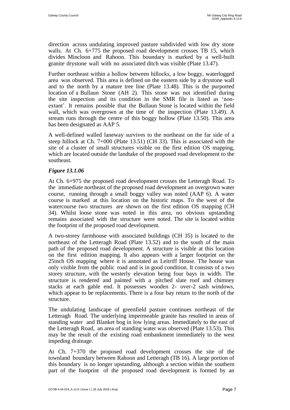direction across undulating improved pasture subdivided with low dry stone walls. At Ch. 6+775 the proposed road development crosses TB 15, which divides Mincloon and Rahoon. This boundary is marked by a well-built granite drystone wall with no associated ditch was visible (Plate 13.47).

Further northeast within a hollow between hillocks, a low boggy, waterlogged area was observed. This area is defined on the eastern side by a drystone wall and to the north by a mature tree line (Plate 13.48). This is the purported location of a Bullaun Stone (AH 2). This stone was not identified during the site inspection and its condition in the SMR file is listed as 'nonextant'. It remains possible that the Bullaun Stone is located within the field wall, which was overgrown at the time of the inspection (Plate 13.49). A stream runs through the centre of this boggy hollow (Plate 13.50). This area has been designated as AAP 5.

A well-defined walled laneway survives to the northeast on the far side of a steep hillock at Ch. 7+000 (Plate 13.51) (CH 33). This is associated with the site of a cluster of small structures visible on the first edition OS mapping, which are located outside the landtake of the proposed road development to the southeast.

### *Figure 13.1.06*

At Ch. 6+975 the proposed road development crosses the Letteragh Road. To the immediate northeast of the proposed road development an overgrown water course, running through a small boggy valley was noted (AAP 6). A water course is marked at this location on the historic maps. To the west of the watercourse two structures are shown on the first edition OS mapping (CH 34). Whilst loose stone was noted in this area, no obvious upstanding remains associated with the structure were noted. The site is located within the footprint of the proposed road development.

A two-storey farmhouse with associated buildings (CH 35) is located to the northeast of the Letteragh Road (Plate 13.52) and to the south of the main path of the proposed road development. A structure is visible at this location on the first edition mapping. It also appears with a larger footprint on the 25inch OS mapping where it is annotated as Leitriff House. The house was only visible from the public road and is in good condition. It consists of a two storey structure, with the westerly elevation being four bays in width. The structure is rendered and painted with a pitched slate roof and chimney stacks at each gable end. It possesses wooden 2- over-2 sash windows, which appear to be replacements. There is a four bay return to the north of the structure.

The undulating landscape of greenfield pasture continues northeast of the Letteragh Road. The underlying impermeable granite has resulted in areas of standing water and Blanket bog in low lying areas. Immediately to the east of the Letteragh Road, an area of standing water was observed (Plate 13.53). This may be the result of the existing road embankment immediately to the west impeding drainage.

At Ch. 7+370 the proposed road development crosses the site of the townland boundary between Rahoon and Letteragh (TB 16). A large portion of this boundary is no longer upstanding, although a section within the southern part of the footprint of the proposed road development is formed by an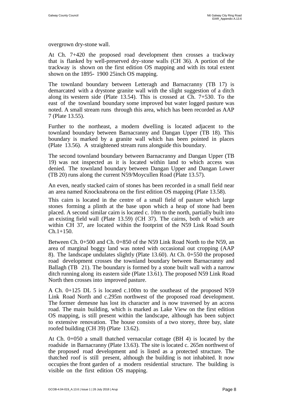overgrown dry-stone wall.

At Ch. 7+420 the proposed road development then crosses a trackway that is flanked by well-preserved dry-stone walls (CH 36). A portion of the trackway is shown on the first edition OS mapping and with its total extent shown on the 1895- 1900 25inch OS mapping.

The townland boundary between Letteragh and Barnacranny (TB 17) is demarcated with a drystone granite wall with the slight suggestion of a ditch along its western side (Plate 13.54). This is crossed at Ch. 7+530. To the east of the townland boundary some improved but water logged pasture was noted. A small stream runs through this area, which has been recorded as AAP 7 (Plate 13.55).

Further to the northeast, a modern dwelling is located adjacent to the townland boundary between Barnacranny and Dangan Upper (TB 18). This boundary is marked by a granite wall which has been pointed in places (Plate 13.56). A straightened stream runs alongside this boundary.

The second townland boundary between Barnacranny and Dangan Upper (TB 19) was not inspected as it is located within land to which access was denied. The townland boundary between Dangan Upper and Dangan Lower (TB 20) runs along the current N59/Moycullen Road (Plate 13.57).

An even, neatly stacked cairn of stones has been recorded in a small field near an area named Knocknabrona on the first edition OS mapping (Plate 13.58).

This cairn is located in the centre of a small field of pasture which large stones forming a plinth at the base upon which a heap of stone had been placed. A second similar cairn is located c. 10m to the north, partially built into an existing field wall (Plate 13.59) (CH 37). The cairns, both of which are within CH 37, are located within the footprint of the N59 Link Road South  $Ch.1+150.$ 

Between Ch. 0+500 and Ch. 0+850 of the N59 Link Road North to the N59, an area of marginal boggy land was noted with occasional out cropping (AAP 8). The landscape undulates slightly (Plate 13.60). At Ch. 0+550 the proposed road development crosses the townland boundary between Barnacranny and Ballagh (TB 21). The boundary is formed by a stone built wall with a narrow ditch running along its eastern side (Plate 13.61). The proposed N59 Link Road North then crosses into improved pasture.

A Ch. 0+125 DL 5 is located c.100m to the southeast of the proposed N59 Link Road North and c.295m northwest of the proposed road development. The former demesne has lost its character and is now traversed by an access road. The main building, which is marked as Lake View on the first edition OS mapping, is still present within the landscape, although has been subject to extensive renovation. The house consists of a two storey, three bay, slate roofed building (CH 39) (Plate 13.62).

At Ch. 0+050 a small thatched vernacular cottage (BH 4) is located by the roadside in Barnacranny (Plate 13.63). The site is located c. 265m northwest of the proposed road development and is listed as a protected structure. The thatched roof is still present, although the building is not inhabited. It now occupies the front garden of a modern residential structure. The building is visible on the first edition OS mapping.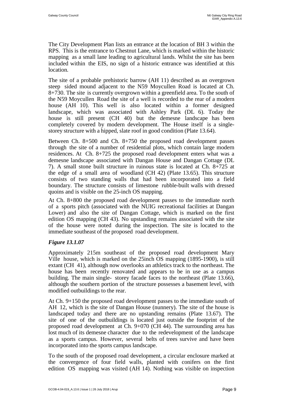The City Development Plan lists an entrance at the location of BH 3 within the RPS. This is the entrance to Chestnut Lane, which is marked within the historic mapping as a small lane leading to agricultural lands. Whilst the site has been included within the EIS, no sign of a historic entrance was identified at this location.

The site of a probable prehistoric barrow (AH 11) described as an overgrown steep sided mound adjacent to the N59 Moycullen Road is located at Ch. 8+730. The site is currently overgrown within a greenfield area. To the south of the N59 Moycullen Road the site of a well is recorded to the rear of a modern house (AH 10). This well is also located within a former designed landscape, which was associated with Ashley Park (DL 6). Today the house is still present (CH 40) but the demesne landscape has been completely covered by modern development. The House itself is a singlestorey structure with a hipped, slate roof in good condition (Plate 13.64).

Between Ch. 8+500 and Ch. 8+750 the proposed road development passes through the site of a number of residential plots, which contain large modern residences. At Ch. 8+725 the proposed road development enters what was a demesne landscape associated with Dangan House and Dangan Cottage (DL 7). A small stone built structure in ruinous state is located at Ch. 8+725 at the edge of a small area of woodland (CH 42) (Plate 13.65). This structure consists of two standing walls that had been incorporated into a field boundary. The structure consists of limestone rubble-built walls with dressed quoins and is visible on the 25-inch OS mapping.

At Ch. 8+800 the proposed road development passes to the immediate north of a sports pitch (associated with the NUIG recreational facilities at Dangan Lower) and also the site of Dangan Cottage, which is marked on the first edition OS mapping (CH 43). No upstanding remains associated with the site of the house were noted during the inspection. The site is located to the immediate southeast of the proposed road development.

### *Figure 13.1.07*

Approximately 215m southeast of the proposed road development Mary Ville house, which is marked on the 25inch OS mapping (1895-1900), is still extant (CH 41), although now overlooks an athletics track to the northeast. The house has been recently renovated and appears to be in use as a campus building. The main single- storey facade faces to the northeast (Plate 13.66), although the southern portion of the structure possesses a basement level, with modified outbuildings to the rear.

At Ch. 9+150 the proposed road development passes to the immediate south of AH 12, which is the site of Dangan House (nunnery). The site of the house is landscaped today and there are no upstanding remains (Plate 13.67). The site of one of the outbuildings is located just outside the footprint of the proposed road development at Ch. 9+070 (CH 44). The surrounding area has lost much of its demesne character due to the redevelopment of the landscape as a sports campus. However, several belts of trees survive and have been incorporated into the sports campus landscape.

To the south of the proposed road development, a circular enclosure marked at the convergence of four field walls, planted with conifers on the first edition OS mapping was visited (AH 14). Nothing was visible on inspection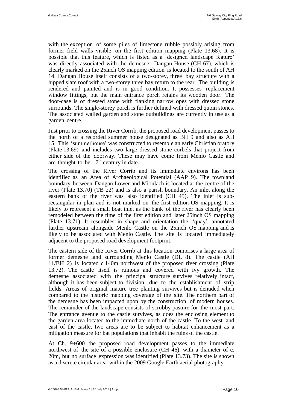with the exception of some piles of limestone rubble possibly arising from former field walls visible on the first edition mapping (Plate 13.68). It is possible that this feature, which is listed as a 'designed landscape feature' was directly associated with the demesne. Dangan House (CH 67), which is clearly marked on the 25inch OS mapping edition is located to the south of AH 14. Dangan House itself consists of a two-storey, three bay structure with a hipped slate roof with a two-storey three bay return to the rear. The building is rendered and painted and is in good condition. It possesses replacement window fittings, but the main entrance porch retains its wooden door. The door-case is of dressed stone with flanking narrow opes with dressed stone surrounds. The single-storey porch is further defined with dressed quoin stones. The associated walled garden and stone outbuildings are currently in use as a garden centre.

Just prior to crossing the River Corrib, the proposed road development passes to the north of a recorded summer house designated as BH 9 and also as AH 15. This 'summerhouse' was constructed to resemble an early Christian oratory (Plate 13.69) and includes two large dressed stone corbels that project from either side of the doorway. These may have come from Menlo Castle and are thought to be  $17<sup>th</sup>$  century in date.

The crossing of the River Corrib and its immediate environs has been identified as an Area of Archaeological Potential (AAP 9). The townland boundary between Dangan Lower and Mionlach is located at the centre of the river (Plate 13.70) (TB 22) and is also a parish boundary. An inlet along the eastern bank of the river was also identified (CH 45). The inlet is subrectangular in plan and is not marked on the first edition OS mapping. It is likely to represent a small boat inlet as the bank of the river has clearly been remodeled between the time of the first edition and later 25inch OS mapping (Plate 13.71). It resembles in shape and orientation the 'quay' annotated further upstream alongside Menlo Castle on the 25inch OS mapping and is likely to be associated with Menlo Castle. The site is located immediately adjacent to the proposed road development footprint.

The eastern side of the River Corrib at this location comprises a large area of former demesne land surrounding Menlo Castle (DL 8). The castle (AH 11/BH 2) is located c.140m northwest of the proposed river crossing (Plate 13.72). The castle itself is ruinous and covered with ivy growth. The demesne associated with the principal structure survives relatively intact, although it has been subject to division due to the establishment of strip fields. Areas of original mature tree planting survives but is denuded when compared to the historic mapping coverage of the site. The northern part of the demesne has been impacted upon by the construction of modern houses. The remainder of the landscape consists of scrubby pasture for the most part. The entrance avenue to the castle survives, as does the enclosing element to the garden area located to the immediate north of the castle. To the west and east of the castle, two areas are to be subject to habitat enhancement as a mitigation measure for bat populations that inhabit the ruins of the castle.

At Ch. 9+600 the proposed road development passes to the immediate northwest of the site of a possible enclosure (CH 46), with a diameter of c. 20m, but no surface expression was identified (Plate 13.73). The site is shown as a discrete circular area within the 2009 Google Earth aerial photography.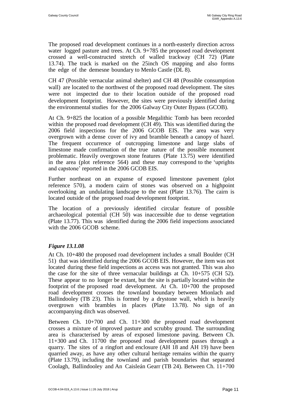The proposed road development continues in a north-easterly direction across water logged pasture and trees. At Ch. 9+785 the proposed road development crossed a well-constructed stretch of walled trackway (CH 72) (Plate 13.74). The track is marked on the 25inch OS mapping and also forms the edge of the demesne boundary to Menlo Castle (DL 8).

CH 47 (Possible vernacular animal shelter) and CH 48 (Possible consumption wall) are located to the northwest of the proposed road development. The sites were not inspected due to their location outside of the proposed road development footprint. However, the sites were previously identified during the environmental studies for the 2006 Galway City Outer Bypass (GCOB).

At Ch. 9+825 the location of a possible Megalithic Tomb has been recorded within the proposed road development (CH 49). This was identified during the 2006 field inspections for the 2006 GCOB EIS. The area was very overgrown with a dense cover of ivy and bramble beneath a canopy of hazel. The frequent occurrence of outcropping limestone and large slabs of limestone made confirmation of the true nature of the possible monument problematic. Heavily overgrown stone features (Plate 13.75) were identified in the area (plot reference 564) and these may correspond to the 'uprights and capstone' reported in the 2006 GCOB EIS.

Further northeast on an expanse of exposed limestone pavement (plot reference 570), a modern cairn of stones was observed on a highpoint overlooking an undulating landscape to the east (Plate 13.76). The cairn is located outside of the proposed road development footprint.

The location of a previously identified circular feature of possible archaeological potential (CH 50) was inaccessible due to dense vegetation (Plate 13.77). This was identified during the 2006 field inspections associated with the 2006 GCOB scheme.

# *Figure 13.1.08*

At Ch. 10+480 the proposed road development includes a small Boulder (CH 51) that was identified during the 2006 GCOB EIS. However, the item was not located during these field inspections as access was not granted. This was also the case for the site of three vernacular buildings at Ch. 10+575 (CH 52). These appear to no longer be extant, but the site is partially located within the footprint of the proposed road development. At Ch. 10+700 the proposed road development crosses the townland boundary between Mionlach and Ballindooley (TB 23). This is formed by a drystone wall, which is heavily overgrown with brambles in places (Plate 13.78). No sign of an accompanying ditch was observed.

Between Ch. 10+700 and Ch. 11+300 the proposed road development crosses a mixture of improved pasture and scrubby ground. The surrounding area is characterised by areas of exposed limestone paving. Between Ch. 11+300 and Ch. 11700 the proposed road development passes through a quarry. The sites of a ringfort and enclosure (AH 18 and AH 19) have been quarried away, as have any other cultural heritage remains within the quarry (Plate 13.79), including the townland and parish boundaries that separated Coolagh, Ballindooley and An Caisleán Gearr (TB 24). Between Ch. 11+700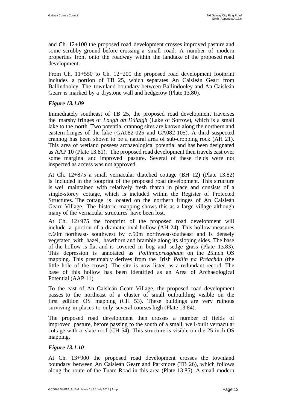and Ch. 12+100 the proposed road development crosses improved pasture and some scrubby ground before crossing a small road. A number of modern properties front onto the roadway within the landtake of the proposed road development.

From Ch. 11+550 to Ch. 12+200 the proposed road development footprint includes a portion of TB 25, which separates An Caisleán Gearr from Ballindooley. The townland boundary between Ballindooley and An Caisleán Gearr is marked by a drystone wall and hedgerow (Plate 13.80).

# *Figure 13.1.09*

Immediately southeast of TB 25, the proposed road development traverses the marshy fringes of *Lough an Dúlaigh* (Lake of Sorrow), which is a small lake to the north. Two potential crannog sites are known along the northern and eastern fringes of the lake (GA082-025 and GA082-105). A third suspected crannog has been shown to be a natural area of sub-cropping rock (AH 21). This area of wetland possess archaeological potential and has been designated as AAP 10 (Plate 13.81). The proposed road development then travels east over some marginal and improved pasture. Several of these fields were not inspected as access was not approved.

At Ch. 12+875 a small vernacular thatched cottage (BH 12) (Plate 13.82) is included in the footprint of the proposed road development. This structure is well maintained with relatively fresh thatch in place and consists of a single-storey cottage, which is included within the Register of Protected Structures. The cottage is located on the northern fringes of An Caisleán Gearr Village. The historic mapping shows this as a large village although many of the vernacular structures have been lost.

At Ch. 12+975 the footprint of the proposed road development will include a portion of a dramatic oval hollow (AH 24). This hollow measures c.60m northeast- southwest by c.50m northwest-southeast and is densely vegetated with hazel, hawthorn and bramble along its sloping sides. The base of the hollow is flat and is covered in bog and sedge grass (Plate 13.83). This depression is annotated as *Poilinnapreaghaun* on the 25inch OS mapping. This presumably derives from the Irish *Poilín na Préachán* (the little hole of the crows). The site is now listed as a redundant record. The base of this hollow has been identified as an Area of Archaeological Potential (AAP 11).

To the east of An Caisleán Gearr Village, the proposed road development passes to the northeast of a cluster of small outbuilding visible on the first edition OS mapping (CH 53). These buildings are very ruinous surviving in places to only several courses high (Plate 13.84).

The proposed road development then crosses a number of fields of improved pasture, before passing to the south of a small, well-built vernacular cottage with a slate roof (CH 54). This structure is visible on the 25-inch OS mapping.

# *Figure 13.1.10*

At Ch. 13+900 the proposed road development crosses the townland boundary between An Caisleán Gearr and Parkmore (TB 26), which follows along the route of the Tuam Road in this area (Plate 13.85). A small modern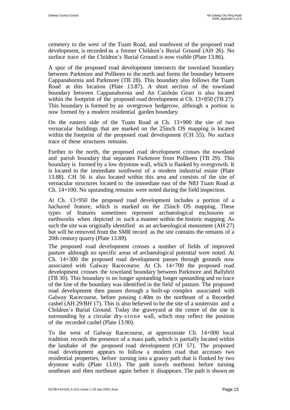cemetery to the west of the Tuam Road, and southwest of the proposed road development, is recorded as a former Children's Burial Ground (AH 26). No surface trace of the Children's Burial Ground is now visible (Plate 13.86).

A spur of the proposed road development intersects the townland boundary between Parkmore and Pollkeen to the north and forms the boundary between Cappanabornia and Parkmore (TB 28). This boundary also follows the Tuam Road at this location (Plate 13.87). A short section of the townland boundary between Cappanabornia and An Caisleán Gearr is also located within the footprint of the proposed road development at Ch. 13+850 (TB 27). This boundary is formed by an overgrown hedgerow, although a portion is now formed by a modern residential garden boundary.

On the eastern side of the Tuam Road at Ch. 13+900 the site of two vernacular buildings that are marked on the 25inch OS mapping is located within the footprint of the proposed road development (CH 55). No surface trace of these structures remains.

Further to the north, the proposed road development crosses the townland and parish boundary that separates Parkmore from Pollkeen (TB 29). This boundary is formed by a low drystone wall, which is flanked by overgrowth. It is located to the immediate southwest of a modern industrial estate (Plate 13.88). CH 56 is also located within this area and consists of the site of vernacular structures located to the immediate east of the N83 Tuam Road at Ch. 14+100. No upstanding remains were noted during the field inspection.

At Ch. 13+950 the proposed road development includes a portion of a hachured feature, which is marked on the 25inch OS mapping. These types of features sometimes represent archaeological enclosures or earthworks when depicted in such a manner within the historic mapping. As such the site was originally identified as an archaeological monument (AH 27) but will be removed from the SMR record as the site contains the remains of a 20th century quarry (Plate 13.89).

The proposed road development crosses a number of fields of improved pasture although no specific areas of archaeological potential were noted. At Ch. 14+300 the proposed road development passes through grounds now associated with Galway Racecourse. At Ch. 14+700 the proposed road development crosses the townland boundary between Parkmore and Ballybrit (TB 30). This boundary is no longer upstanding longer upstanding and no trace of the line of the boundary was identified in the field of pasture. The proposed road development then passes through a built-up complex associated with Galway Racecourse, before passing c.40m to the northeast of a Recorded cashel (AH 29/BH 17). This is also believed to be the site of a souterrain and a Children's Burial Ground. Today the graveyard at the centre of the site is surrounding by a circular dry-stone wall, which may reflect the position of the recorded cashel (Plate 13.90).

To the west of Galway Racecourse, at approximate Ch. 14+000 local tradition records the presence of a mass path, which is partially located within the landtake of the proposed road development (CH 57). The proposed road development appears to follow a modern road that accesses two residential properties, before turning into a grassy path that is flanked by two drystone walls (Plate 13.91). The path travels northeast before turning southeast and then northeast again before it disappears. The path is shown on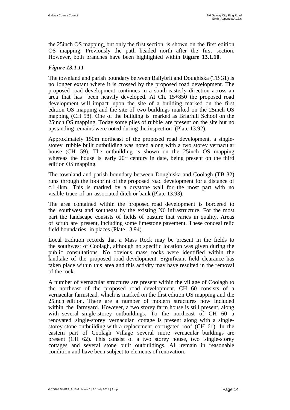the 25inch OS mapping, but only the first section is shown on the first edition OS mapping. Previously the path headed north after the first section. However, both branches have been highlighted within **Figure 13.1.10**.

# *Figure 13.1.11*

The townland and parish boundary between Ballybrit and Doughiska (TB 31) is no longer extant where it is crossed by the proposed road development. The proposed road development continues in a south-easterly direction across an area that has been heavily developed. At Ch. 15+850 the proposed road development will impact upon the site of a building marked on the first edition OS mapping and the site of two buildings marked on the 25inch OS mapping (CH 58). One of the building is marked as Briarhill School on the 25inch OS mapping. Today some piles of rubble are present on the site but no upstanding remains were noted during the inspection (Plate 13.92).

Approximately 150m northeast of the proposed road development, a singlestorey rubble built outbuilding was noted along with a two storey vernacular house (CH 59). The outbuilding is shown on the 25inch OS mapping whereas the house is early  $20<sup>th</sup>$  century in date, being present on the third edition OS mapping.

The townland and parish boundary between Doughiska and Coolagh (TB 32) runs through the footprint of the proposed road development for a distance of c.1.4km. This is marked by a drystone wall for the most part with no visible trace of an associated ditch or bank (Plate 13.93).

The area contained within the proposed road development is bordered to the southwest and southeast by the existing N6 infrastructure. For the most part the landscape consists of fields of pasture that varies in quality. Areas of scrub are present, including some limestone pavement. These conceal relic field boundaries in places (Plate 13.94).

Local tradition records that a Mass Rock may be present in the fields to the southwest of Coolagh, although no specific location was given during the public consultations. No obvious mass rocks were identified within the landtake of the proposed road development. Significant field clearance has taken place within this area and this activity may have resulted in the removal of the rock.

A number of vernacular structures are present within the village of Coolagh to the northeast of the proposed road development. CH 60 consists of a vernacular farmstead, which is marked on the first edition OS mapping and the 25inch edition. There are a number of modern structures now included within the farmyard. However, a two storey farm house is still present, along with several single-storey outbuildings. To the northeast of CH 60 a renovated single-storey vernacular cottage is present along with a singlestorey stone outbuilding with a replacement corrugated roof (CH 61). In the eastern part of Coolagh Village several more vernacular buildings are present (CH 62). This consist of a two storey house, two single-storey cottages and several stone built outbuildings. All remain in reasonable condition and have been subject to elements of renovation.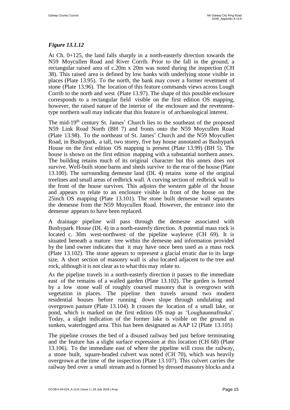# *Figure 13.1.12*

At Ch. 0+125, the land falls sharply in a north-easterly direction towards the N59 Moycullen Road and River Corrib. Prior to the fall in the ground, a rectangular raised area of c.20m x 20m was noted during the inspection (CH 38). This raised area is defined by low banks with underlying stone visible in places (Plate 13.95). To the north, the bank may cover a former revetment of stone (Plate 13.96). The location of this feature commands views across Lough Corrib to the north and west (Plate 13.97). The shape of this possible enclosure corresponds to a rectangular field visible on the first edition OS mapping, however, the raised nature of the interior of the enclosure and the revetmenttype northern wall may indicate that this feature is of archaeological interest.

The mid-19<sup>th</sup> century St. James' Church lies to the southeast of the proposed N59 Link Road North (BH 7) and fronts onto the N59 Moycullen Road (Plate 13.98). To the northeast of St. James' Church and the N59 Moycullen Road, in Bushypark, a tall, two storey, five bay house annotated as Bushypark House on the first edition OS mapping is present (Plate 13.99) (BH 5). The house is shown on the first edition mapping with a substantial northern annex. The building retains much of its original character but this annex does not survive. Well-built stone barns and sheds survive to the rear of the house (Plate 13.100). The surrounding demesne land (DL 4) retains some of the original treelines and small areas of redbrick wall. A curving section of redbrick wall to the front of the house survives. This adjoins the western gable of the house and appears to relate to an enclosure visible in front of the house on the 25inch OS mapping (Plate 13.101). The stone built demesne wall separates the demesne from the N59 Moycullen Road. However, the entrance into the demesne appears to have been replaced.

A drainage pipeline will pass through the demesne associated with Bushypark House (DL 4) in a north-easterly direction. A potential mass rock is located c. 30m west-northwest of the pipeline wayleave (CH 69). It is situated beneath a mature tree within the demesne and information provided by the land owner indicates that it may have once been used as a mass rock (Plate 13.102). The stone appears to represent a glacial erratic due to its large size. A short section of masonry wall is also located adjacent to the tree and rock, although it is not clear as to what this may relate to.

As the pipeline travels in a north-easterly direction it passes to the immediate east of the remains of a walled garden (Plate 13.102). The garden is formed by a low stone wall of roughly coursed masonry that is overgrown with vegetation in places. The pipeline then travels around two modern residential houses before running down slope through undulating and overgrown pasture (Plate 13.104). It crosses the location of a small lake, or pond, which is marked on the first edition OS map as 'Loughaunnafraska'. Today, a slight indication of the former lake is visible on the ground as sunken, waterlogged area. This has been designated as AAP 12 (Plate 13.105)

The pipeline crosses the bed of a disused railway bed just before terminating and the feature has a slight surface expression at this location (CH 68) (Plate 13.106). To the immediate east of where the pipeline will cross the railway, a stone built, square-headed culvert was noted (CH 70), which was heavily overgrown at the time of the inspection (Plate 13.107). This culvert carries the railway bed over a small stream and is formed by dressed masonry blocks and a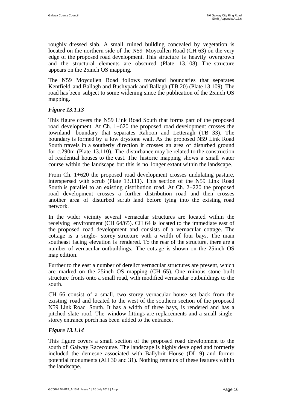roughly dressed slab. A small ruined building concealed by vegetation is located on the northern side of the N59 Moycullen Road (CH 63) on the very edge of the proposed road development. This structure is heavily overgrown and the structural elements are obscured (Plate 13.108). The structure appears on the 25inch OS mapping.

The N59 Moycullen Road follows townland boundaries that separates Kentfield and Ballagh and Bushypark and Ballagh (TB 20) (Plate 13.109). The road has been subject to some widening since the publication of the 25inch OS mapping.

### *Figure 13.1.13*

This figure covers the N59 Link Road South that forms part of the proposed road development. At Ch. 1+620 the proposed road development crosses the townland boundary that separates Rahoon and Letteragh (TB 33). The boundary is formed by a low drystone wall. As the proposed N59 Link Road South travels in a southerly direction it crosses an area of disturbed ground for c.290m (Plate 13.110). The disturbance may be related to the construction of residential houses to the east. The historic mapping shows a small water course within the landscape but this is no longer extant within the landscape.

From Ch. 1+620 the proposed road development crosses undulating pasture, interspersed with scrub (Plate 13.111). This section of the N59 Link Road South is parallel to an existing distribution road. At Ch. 2+220 the proposed road development crosses a further distribution road and then crosses another area of disturbed scrub land before tying into the existing road network.

In the wider vicinity several vernacular structures are located within the receiving environment (CH 64/65). CH 64 is located to the immediate east of the proposed road development and consists of a vernacular cottage. The cottage is a single- storey structure with a width of four bays. The main southeast facing elevation is rendered. To the rear of the structure, there are a number of vernacular outbuildings. The cottage is shown on the 25inch OS map edition.

Further to the east a number of derelict vernacular structures are present, which are marked on the 25inch OS mapping (CH 65). One ruinous stone built structure fronts onto a small road, with modified vernacular outbuildings to the south.

CH 66 consist of a small, two storey vernacular house set back from the existing road and located to the west of the southern section of the proposed N59 Link Road South. It has a width of three bays, is rendered and has a pitched slate roof. The window fittings are replacements and a small singlestorey entrance porch has been added to the entrance.

### *Figure 13.1.14*

This figure covers a small section of the proposed road development to the south of Galway Racecourse. The landscape is highly developed and formerly included the demesne associated with Ballybrit House (DL 9) and former potential monuments (AH 30 and 31). Nothing remains of these features within the landscape.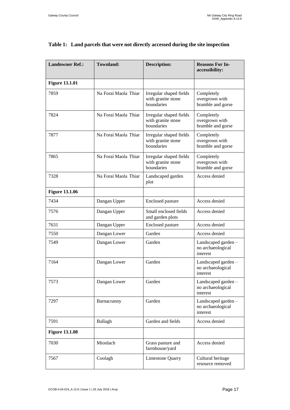| <b>Landowner Ref.:</b> | <b>Townland:</b>     | <b>Description:</b>                                         | <b>Reasons For In-</b><br>accessibility:             |
|------------------------|----------------------|-------------------------------------------------------------|------------------------------------------------------|
| <b>Figure 13.1.01</b>  |                      |                                                             |                                                      |
| 7859                   | Na Foraí Maola Thiar | Irregular shaped fields<br>with granite stone<br>boundaries | Completely<br>overgrown with<br>bramble and gorse    |
| 7824                   | Na Foraí Maola Thiar | Irregular shaped fields<br>with granite stone<br>boundaries | Completely<br>overgrown with<br>bramble and gorse    |
| 7877                   | Na Foraí Maola Thiar | Irregular shaped fields<br>with granite stone<br>boundaries | Completely<br>overgrown with<br>bramble and gorse    |
| 7865                   | Na Foraí Maola Thiar | Irregular shaped fields<br>with granite stone<br>boundaries | Completely<br>overgrown with<br>bramble and gorse    |
| 7328                   | Na Foraí Maola Thiar | Landscaped garden<br>plot                                   | Access denied                                        |
| <b>Figure 13.1.06</b>  |                      |                                                             |                                                      |
| 7434                   | Dangan Upper         | <b>Enclosed</b> pasture                                     | Access denied                                        |
| 7576                   | Dangan Upper         | Small enclosed fields<br>and garden plots                   | Access denied                                        |
| 7631                   | Dangan Upper         | <b>Enclosed</b> pasture                                     | Access denied                                        |
| 7550                   | Dangan Lower         | Garden                                                      | Access denied                                        |
| 7549                   | Dangan Lower         | Garden                                                      | Landscaped garden -<br>no archaeological<br>interest |
| 7164                   | Dangan Lower         | Garden                                                      | Landscaped garden-<br>no archaeological<br>interest  |
| 7573                   | Dangan Lower         | Garden                                                      | Landscaped garden-<br>no archaeological<br>interest  |
| 7297                   | Barnacranny          | Garden                                                      | Landscaped garden-<br>no archaeological<br>interest  |
| 7591                   | Ballagh              | Garden and fields                                           | Access denied                                        |
| <b>Figure 13.1.08</b>  |                      |                                                             |                                                      |
| 7030                   | Mionlach             | Grass pasture and<br>farmhouse/yard                         | Access denied                                        |
| 7567                   | Coolagh              | <b>Limestone Quarry</b>                                     | Cultural heritage<br>resource removed                |

# **Table 1: Land parcels that were not directly accessed during the site inspection**